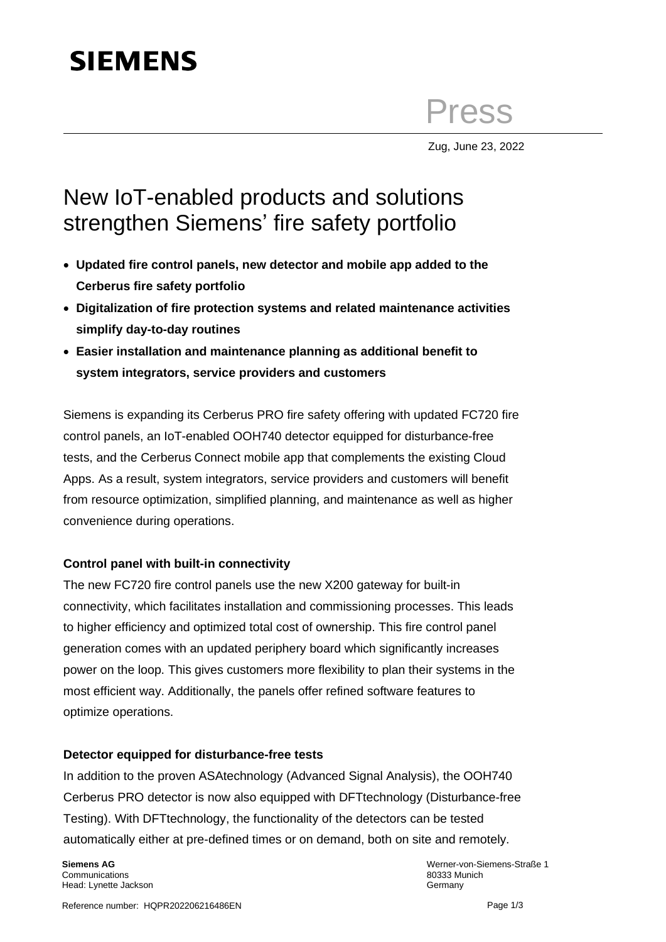# **SIEMENS**

Press

Zug, June 23, 2022

## New IoT-enabled products and solutions strengthen Siemens' fire safety portfolio

- **Updated fire control panels, new detector and mobile app added to the Cerberus fire safety portfolio**
- **Digitalization of fire protection systems and related maintenance activities simplify day-to-day routines**
- **Easier installation and maintenance planning as additional benefit to system integrators, service providers and customers**

Siemens is expanding its Cerberus PRO fire safety offering with updated FC720 fire control panels, an IoT-enabled OOH740 detector equipped for disturbance-free tests, and the Cerberus Connect mobile app that complements the existing Cloud Apps. As a result, system integrators, service providers and customers will benefit from resource optimization, simplified planning, and maintenance as well as higher convenience during operations.

### **Control panel with built-in connectivity**

The new FC720 fire control panels use the new X200 gateway for built-in connectivity, which facilitates installation and commissioning processes. This leads to higher efficiency and optimized total cost of ownership. This fire control panel generation comes with an updated periphery board which significantly increases power on the loop. This gives customers more flexibility to plan their systems in the most efficient way. Additionally, the panels offer refined software features to optimize operations.

### **Detector equipped for disturbance-free tests**

In addition to the proven ASAtechnology (Advanced Signal Analysis), the OOH740 Cerberus PRO detector is now also equipped with DFTtechnology (Disturbance-free Testing). With DFTtechnology, the functionality of the detectors can be tested automatically either at pre-defined times or on demand, both on site and remotely.

**Siemens AG Communications** Head: Lynette Jackson Werner-von-Siemens-Straße 1 80333 Munich **Germany**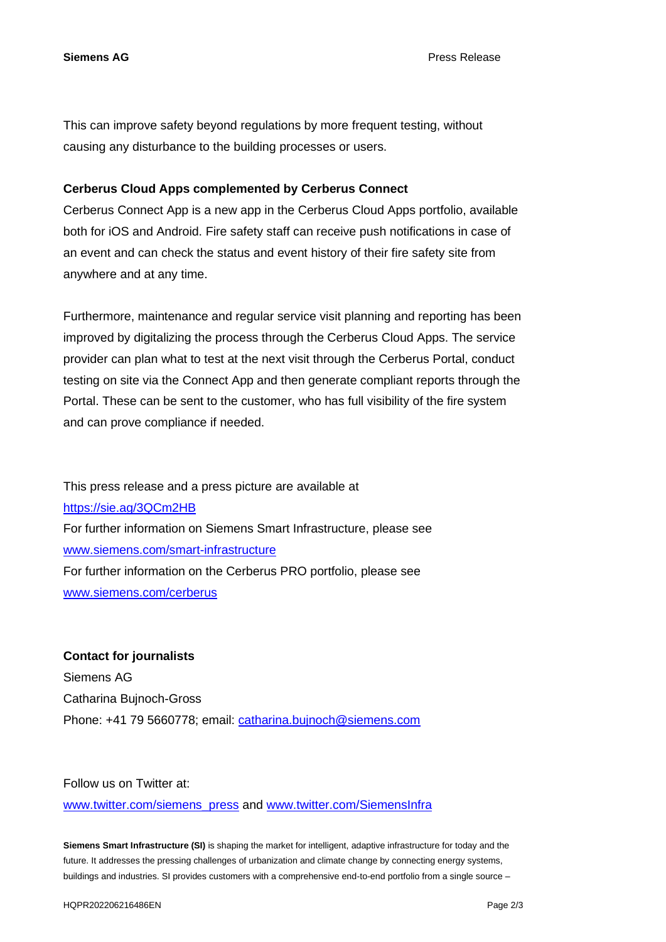**Siemens AG** Press Release

This can improve safety beyond regulations by more frequent testing, without causing any disturbance to the building processes or users.

#### **Cerberus Cloud Apps complemented by Cerberus Connect**

Cerberus Connect App is a new app in the Cerberus Cloud Apps portfolio, available both for iOS and Android. Fire safety staff can receive push notifications in case of an event and can check the status and event history of their fire safety site from anywhere and at any time.

Furthermore, maintenance and regular service visit planning and reporting has been improved by digitalizing the process through the Cerberus Cloud Apps. The service provider can plan what to test at the next visit through the Cerberus Portal, conduct testing on site via the Connect App and then generate compliant reports through the Portal. These can be sent to the customer, who has full visibility of the fire system and can prove compliance if needed.

This press release and a press picture are available at <https://sie.ag/3QCm2HB> For further information on Siemens Smart Infrastructure, please see [www.siemens.com/smart-infrastructure](http://www.siemens.com/smart-infrastructure) For further information on the Cerberus PRO portfolio, please see [www.siemens.com/cerberus](http://www.siemens.com/cerberus)

**Contact for journalists** Siemens AG Catharina Bujnoch-Gross Phone: +41 79 5660778; email: [catharina.bujnoch@siemens.com](mailto:catharina.bujnoch@siemens.com)

Follow us on Twitter at:

[www.twitter.com/siemens\\_press](http://www.twitter.com/siemens_press) and [www.twitter.com/SiemensInfra](http://www.twitter.com/SiemensInfra)

**Siemens Smart Infrastructure (SI)** is shaping the market for intelligent, adaptive infrastructure for today and the future. It addresses the pressing challenges of urbanization and climate change by connecting energy systems, buildings and industries. SI provides customers with a comprehensive end-to-end portfolio from a single source –